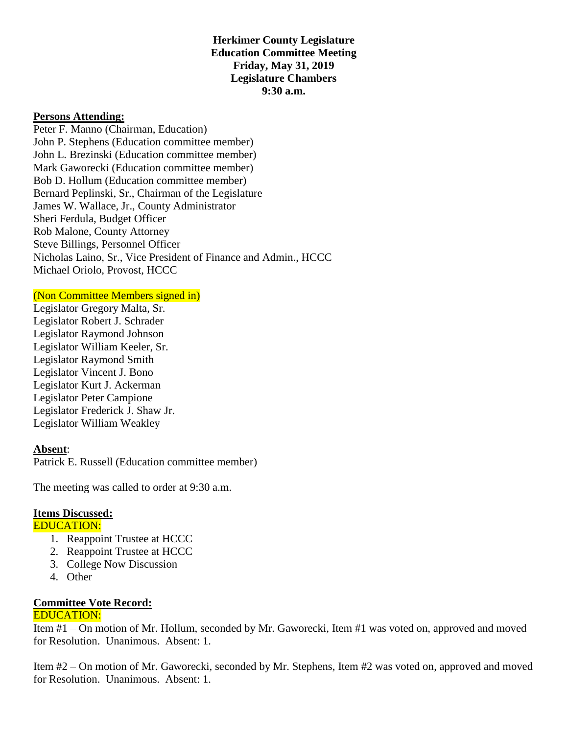**Herkimer County Legislature Education Committee Meeting Friday, May 31, 2019 Legislature Chambers 9:30 a.m.**

### **Persons Attending:**

Peter F. Manno (Chairman, Education) John P. Stephens (Education committee member) John L. Brezinski (Education committee member) Mark Gaworecki (Education committee member) Bob D. Hollum (Education committee member) Bernard Peplinski, Sr., Chairman of the Legislature James W. Wallace, Jr., County Administrator Sheri Ferdula, Budget Officer Rob Malone, County Attorney Steve Billings, Personnel Officer Nicholas Laino, Sr., Vice President of Finance and Admin., HCCC Michael Oriolo, Provost, HCCC

#### (Non Committee Members signed in)

Legislator Gregory Malta, Sr. Legislator Robert J. Schrader Legislator Raymond Johnson Legislator William Keeler, Sr. Legislator Raymond Smith Legislator Vincent J. Bono Legislator Kurt J. Ackerman Legislator Peter Campione Legislator Frederick J. Shaw Jr. Legislator William Weakley

## **Absent**:

Patrick E. Russell (Education committee member)

The meeting was called to order at 9:30 a.m.

#### **Items Discussed:**

# EDUCATION:

- 1. Reappoint Trustee at HCCC
- 2. Reappoint Trustee at HCCC
- 3. College Now Discussion
- 4. Other

#### **Committee Vote Record:** EDUCATION:

Item #1 – On motion of Mr. Hollum, seconded by Mr. Gaworecki, Item #1 was voted on, approved and moved for Resolution. Unanimous. Absent: 1.

Item #2 – On motion of Mr. Gaworecki, seconded by Mr. Stephens, Item #2 was voted on, approved and moved for Resolution. Unanimous. Absent: 1.